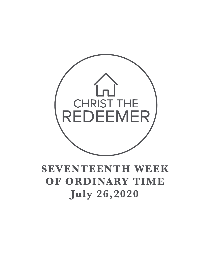

# **SEVENTEENTH WEEK OF ORDINARY TIME July 26,2020**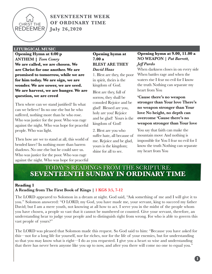

# **SEVENTEENTH WEEK OF ORDINARY TIME July 26,2020**

## **LITURGICAL MUSIC**

**Opening Hymn at 4:00 p ANTHEM |** *Tom Conry* **We are called, we are chosen. We are Christ for one another. We are promised to tomorrow, while we are for him today. We are sign, we are wonder. We are sower, we are seed. We are harvest, we are hunger. We are question, we are creed**

Then where can we stand justified? In what can we believe? In no one else but he who suffered, nothing more than he who rose. Who was justice for the poor. Who was rage against the night. Who was hope for peaceful people. Who was light.

Then how are we to stand at all, this world of bended knee? In nothing more than barren shadows. No one else but he could save us. Who was justice for the poor. Who was rage against the night. Who was hope for peaceful

# **Opening hymn at 7.00 a BLEST ARE THEY**  *David Haas*

1. Blest are they, the poor in spirit, theirs is the kingdom of God.

Blest are they, full of sorrow, they shall be consoled Rejoice and be glad! Blessed are you, holy are you! Rejoice and be glad! Yours is the kingdom of God!

2. Blest are you who suffer hate, all because of me. Rejoice and be glad, yours is the kingdom; shine for all to see.

## **Opening hymn at 9.00, 11.00 a NO WEAPON |** *Pat Barrett, Jeff Pardo*

When darkness closes in on every side When battles rage and when the waters rise I fear no evil for I know the truth Nothing can separate my heart from You

**'Cause there's no weapon stronger than Your love There's no weapon stronger than Your love No height, no depth can overcome 'Cause there's no weapon stronger than Your love**

You say that faith can make the mountain move And nothing is impossible for You I fear no evil for I know the truth Nothing can separate my heart from You

# TODAY'S READINGS FROM THE SCRIPTURE: **SEVENTEENTH SUNDAY IN ORDINARY TIME**

## **Reading 1**

## **A Reading from The First Book of Kings | 1 KGS 3:5, 7-12**

The LORD appeared to Solomon in a dream at night. God said, "Ask something of me and I will give it to you." Solomon answered: "O LORD, my God, you have made me, your servant, king to succeed my father David; but I am a mere youth, not knowing at all how to act. I serve you in the midst of the people whom you have chosen, a people so vast that it cannot be numbered or counted. Give your servant, therefore, an understanding hear to judge your people and to distinguish right from wrong. For who is able to govern this vast people of yours?"

The LORD was pleased that Solomon made this request. So God said to him: "Because you have asked for this—not for a long life for yourself, nor for riches, nor for the life of your enemies, but for understanding so that you may know what is right—I do as you requested. I give you a heart so wise and understanding that there has never been anyone like you up to now, and after you there will come no one to equal you."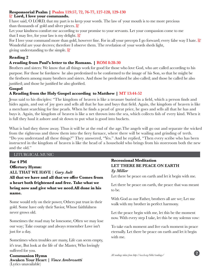#### **Responsorial Psalm | Psalm 119:57, 72, 76-77, 127-128, 129-130** R. **Lord, I love your commands.**

I have said, O LORD, that my part is to keep your words. The law of your mouth is to me more precious than thousands of gold and silver pieces.  $\mathbb{R}^7$ 

Let your kindness comfort me according to your promise to your servants. Let your compassion come to me that I may live, for your law is my delight.  $\mathbb{R}^7$ .

For I love your command more than gold, however fine. For in all your precepts I go forward; every false way I hate.  $\mathbb R$ Wonderful are your decrees; therefore I observe them. The revelation of your words sheds light, giving understanding to the simple.  $\mathbb{R}^7$ .

## **Reading 2**

# **A reading from Paul's letter to the Romans. | ROM 8:28-30**

Brothers and sisters: We know that all things work for good for those who love God, who are called according to his purpose. For those he foreknew he also predestined to be conformed to the image of his Son, so that he might be the firstborn among many brothers and sisters. And those he predestined he also called; and those he called he also justified; and those he justified he also glorified.

# **Gospel**

## **A Reading from the Holy Gospel according to Matthew | MT 13:44-52**

Jesus said to his disciples: "The kingdom of heaven is like a treasure buried in a field, which a person finds and hides again, and out of joy goes and sells all that he has and buys that field. Again, the kingdom of heaven is like a merchant searching for fine pearls. When he finds a pearl of great price, he goes and sells all that he has and buys it. Again, the kingdom of heaven is like a net thrown into the sea, which collects fish of every kind. When it is full they haul it ashore and sit down to put what is good into buckets.

What is bad they throw away. Thus it will be at the end of the age.The angels will go out and separate the wicked from the righteous and throw them into the fiery furnace, where there will be wailing and grinding of teeth. "Do you understand all these things?" They answered, "Yes." And he replied, "Then every scribe who has been instructed in the kingdom of heaven is like the head of a household who brings from his storeroom both the new and the old."

#### LITURGICAL MUSIC

## **For 4 PM**

**Offertory Hymn: ALL THAT WE HAVE** | *Gary Ault* **All that we have and all that we offer Comes from a heart both frightened and free. Take what we bring now and give what we need.All done in his name.**

Some would rely on their power, Others put trust in their gold. Some have only their Savior, Whose faithfulness never grows old.

Sometimes the road may be lonesome, Often we may lose our way; Take courage and always remember Love isn't just for a day.

Sometimes when troubles are many, Life can seem empty, it's true, But look at the life of the Master, Who lovingly suffered for you.

## **Recessional Meditation LET THERE BE PEACE ON EARTH** *Sy Miller*

Let there be peace on earth and let it begin with me.

Let there be peace on earth, the peace that was meant to be.

With God as our Father, brothers all are we; Let me walk with my brother in perfect harmony.

Let the peace begin with me, let this be the moment now. With every step I take, let this be my solemn vow:

To take each moment and live each moment in peace eternally. Let there be peace on earth and let it begin with me.

*All readings taken from http://usccb.org/bible/readings/*

**Communion Hymn Awaken Your Heart |** *Vince Ambrosetti* (Lyrics unavailable)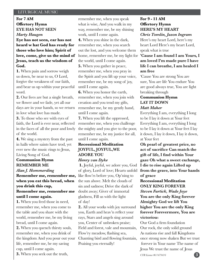#### LITURGICAL MUSIC

**For 7 AM Offertory Hymn EYE HAS NOT SEEN**  *Marty Haugen* **Eye has not seen, ear has not heard w hat God has ready for those who love him; Spirit of love, come, give us the mind of Jesus, teach us the wisdom of God.**

**1.** When pain and sorrow weigh us down, be near to us, O Lord, forgive the weakness of our faith, and bear us up within your peaceful word.

**2.** Our lives are but a single breath, we flower and we fade, yet all our days are in your hands, so we return in love what love has made.

**3.** To those who see with eyes of faith, the Lord is ever near, reflected in the faces of all the poor and lowly of the world.

**4.** We sing a mystery from the past in halls where saints have trod, yet ever new the music rings to Jesus, Living Song of God.

## **Communion Hymn REMEMBER ME**

*Alan J. Hommerding*

**Remember me, remember me,**  like flow'rs before you, Op'ning to **when you eat this bread, when you drink this cup, Remember me, remember me until I come again.**

**1.** When you feed those in need, remember me, when you come to the table and you share with the world, remember me, be my living bread, until I come again.

**2.** When you quench thirsty souls, remember me, when you drink of the kingdom And you pour out your life, remember me, be my saving cup, until I come again.

**3.** When you seek out the truth,

remember me, when you speak what is wise, And you walk in my way, remember me, be my shining work, until I come again. **4.** When you shine in the dark, remember me, when you search out the lost, and you welcome them home, remember me, be my light for the world, until I come again. **5.** When you gather in peace, remember me, when you pray in

the Spirit and you lift up your voice, remember me, be my song of joy, until I come again.

**6.** When you honor the earth, remember me, when you join with creation and you tend my gifts, remember me, be my gently hand, until I come again.

**7.** When you lift the oppressed, remember me, when you challenge the mighty and you give to the poor, remember me, be my justice for all, until I come again.

## **Recessional Meditation JOYFUL, JOYFUL,WE ADORE YOU**  *Henry van Dyke*

 **1.** Joyful, joyful, we adore you, God **I die to rise again Lifted up**  of glory, Lord of love; Hearts unfold the sun above. Melt the clouds of sin and sadness; Drive the dark of doubt away; Giver of immortal gladness, Fill us with the light of day!

**2.** All your works with joy surround you, Earth and heav'n reflect your rays, Stars and angels sing around you, Center of unbroken praise; Field and forest, vale and mountain, Flow'ry meadow, flashing sea, Chanting bird and flowing fountain, Praising you eternally!

# **For 9 - 11 AM Offertory Hymn HERE'S MY HEART**

*Chris Tomlin, Jason Ingram*

Here's my heart Lord, here's my heart Lord Here's my heart Lord, speak what is true

## **'Cause I am found I am Yours, I am loved I'm made pure I have life I can breathe, I am healed I am free**

'Cause You are strong You are sure, You are life You endure You are good always true, You are light breaking through

#### **Communion Hymn LAY IT DOWN**  *Matt Maher*

Everything I am, everything I long to be I lay it down at Your feet Everything I am, everything I long to be I lay it down at Your feet I lay it down, I lay it down, I lay it down, at Your feet

**Oh pearl of greatest price, no act of sacrifice Can match the gift of life, I find within Your gaze Oh what a sweet exchange, from the grave, into Your hands of grace**

**Recessional Meditation ONLY KING FOREVER** 

*Steven Furtick, Wade Joye* **You are the only King forever Almighty God we lift You higher You are the only King forever Forevermore, You are victoriou**s

Our God a firm foundation Our rock, the only solid ground As nations rise and fall Kingdoms once strong now shaken But we trust forever in Your name The name of Jesus We trust the name of Jesus *CTR License #11479416* **3**